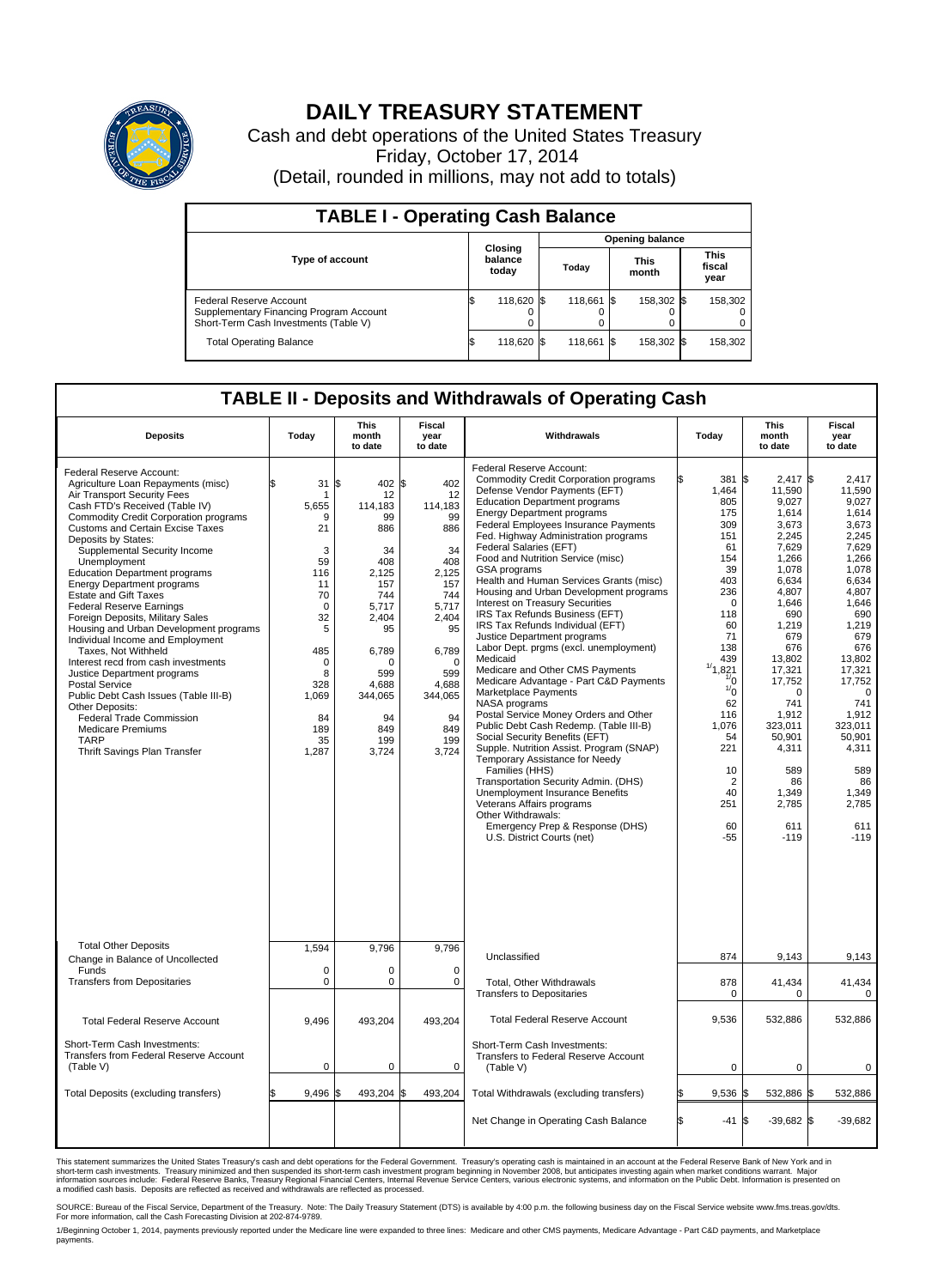

## **DAILY TREASURY STATEMENT**

Cash and debt operations of the United States Treasury Friday, October 17, 2014 (Detail, rounded in millions, may not add to totals)

| <b>TABLE I - Operating Cash Balance</b>                                                                     |    |                             |  |                        |  |                      |  |                               |  |  |
|-------------------------------------------------------------------------------------------------------------|----|-----------------------------|--|------------------------|--|----------------------|--|-------------------------------|--|--|
|                                                                                                             |    |                             |  | <b>Opening balance</b> |  |                      |  |                               |  |  |
| <b>Type of account</b>                                                                                      |    | Closing<br>balance<br>today |  | Today                  |  | <b>This</b><br>month |  | <b>This</b><br>fiscal<br>year |  |  |
| Federal Reserve Account<br>Supplementary Financing Program Account<br>Short-Term Cash Investments (Table V) |    | 118,620 \$                  |  | 118.661 \$             |  | 158.302 \$           |  | 158,302                       |  |  |
| <b>Total Operating Balance</b>                                                                              | \$ | 118,620 \$                  |  | 118,661 \$             |  | 158,302 \$           |  | 158,302                       |  |  |

## **TABLE II - Deposits and Withdrawals of Operating Cash**

| <b>Deposits</b>                                                                                                                                                                                                                                                                                                                                                                                                                                                                                                                                                                                                                                                                                                                                                                                                                                              | Todav                                                                                                                                                   | <b>This</b><br>month<br>to date                                                                                                                                               | Fiscal<br>year<br>to date                                                                                                                                                  | Withdrawals                                                                                                                                                                                                                                                                                                                                                                                                                                                                                                                                                                                                                                                                                                                                                                                                                                                                                                                                                                                                                                                                                                                                                                               | Today                                                                                                                                                                                                                                                | <b>This</b><br>month<br>to date                                                                                                                                                                                                                                                            | Fiscal<br>year<br>to date                                                                                                                                                                                                                                                          |
|--------------------------------------------------------------------------------------------------------------------------------------------------------------------------------------------------------------------------------------------------------------------------------------------------------------------------------------------------------------------------------------------------------------------------------------------------------------------------------------------------------------------------------------------------------------------------------------------------------------------------------------------------------------------------------------------------------------------------------------------------------------------------------------------------------------------------------------------------------------|---------------------------------------------------------------------------------------------------------------------------------------------------------|-------------------------------------------------------------------------------------------------------------------------------------------------------------------------------|----------------------------------------------------------------------------------------------------------------------------------------------------------------------------|-------------------------------------------------------------------------------------------------------------------------------------------------------------------------------------------------------------------------------------------------------------------------------------------------------------------------------------------------------------------------------------------------------------------------------------------------------------------------------------------------------------------------------------------------------------------------------------------------------------------------------------------------------------------------------------------------------------------------------------------------------------------------------------------------------------------------------------------------------------------------------------------------------------------------------------------------------------------------------------------------------------------------------------------------------------------------------------------------------------------------------------------------------------------------------------------|------------------------------------------------------------------------------------------------------------------------------------------------------------------------------------------------------------------------------------------------------|--------------------------------------------------------------------------------------------------------------------------------------------------------------------------------------------------------------------------------------------------------------------------------------------|------------------------------------------------------------------------------------------------------------------------------------------------------------------------------------------------------------------------------------------------------------------------------------|
| Federal Reserve Account:<br>Agriculture Loan Repayments (misc)<br>Air Transport Security Fees<br>Cash FTD's Received (Table IV)<br><b>Commodity Credit Corporation programs</b><br><b>Customs and Certain Excise Taxes</b><br>Deposits by States:<br>Supplemental Security Income<br>Unemployment<br><b>Education Department programs</b><br><b>Energy Department programs</b><br><b>Estate and Gift Taxes</b><br><b>Federal Reserve Earnings</b><br>Foreign Deposits, Military Sales<br>Housing and Urban Development programs<br>Individual Income and Employment<br>Taxes. Not Withheld<br>Interest recd from cash investments<br>Justice Department programs<br>Postal Service<br>Public Debt Cash Issues (Table III-B)<br>Other Deposits:<br><b>Federal Trade Commission</b><br><b>Medicare Premiums</b><br><b>TARP</b><br>Thrift Savings Plan Transfer | \$<br>31<br>-1<br>5,655<br>9<br>21<br>3<br>59<br>116<br>11<br>70<br>$\mathbf 0$<br>32<br>5<br>485<br>0<br>8<br>328<br>1,069<br>84<br>189<br>35<br>1,287 | l\$<br>402 \$<br>12<br>114.183<br>99<br>886<br>34<br>408<br>2,125<br>157<br>744<br>5,717<br>2.404<br>95<br>6,789<br>O<br>599<br>4,688<br>344,065<br>94<br>849<br>199<br>3,724 | 402<br>12<br>114,183<br>99<br>886<br>34<br>408<br>2,125<br>157<br>744<br>5,717<br>2.404<br>95<br>6,789<br>$\Omega$<br>599<br>4,688<br>344,065<br>94<br>849<br>199<br>3,724 | Federal Reserve Account:<br><b>Commodity Credit Corporation programs</b><br>Defense Vendor Payments (EFT)<br><b>Education Department programs</b><br><b>Energy Department programs</b><br><b>Federal Employees Insurance Payments</b><br>Fed. Highway Administration programs<br>Federal Salaries (EFT)<br>Food and Nutrition Service (misc)<br>GSA programs<br>Health and Human Services Grants (misc)<br>Housing and Urban Development programs<br>Interest on Treasury Securities<br>IRS Tax Refunds Business (EFT)<br>IRS Tax Refunds Individual (EFT)<br>Justice Department programs<br>Labor Dept. prgms (excl. unemployment)<br>Medicaid<br>Medicare and Other CMS Payments<br>Medicare Advantage - Part C&D Payments<br>Marketplace Payments<br>NASA programs<br>Postal Service Money Orders and Other<br>Public Debt Cash Redemp. (Table III-B)<br>Social Security Benefits (EFT)<br>Supple. Nutrition Assist. Program (SNAP)<br>Temporary Assistance for Needy<br>Families (HHS)<br>Transportation Security Admin. (DHS)<br>Unemployment Insurance Benefits<br>Veterans Affairs programs<br>Other Withdrawals:<br>Emergency Prep & Response (DHS)<br>U.S. District Courts (net) | 381<br>1,464<br>805<br>175<br>309<br>151<br>61<br>154<br>39<br>403<br>236<br>$\mathbf 0$<br>118<br>60<br>71<br>138<br>439<br>1/4<br>,821<br>$\frac{1}{0}$<br>$\frac{1}{0}$<br>62<br>116<br>1,076<br>54<br>221<br>10<br>2<br>40<br>251<br>60<br>$-55$ | l\$<br>2.417S<br>11,590<br>9,027<br>1,614<br>3,673<br>2,245<br>7,629<br>1.266<br>1,078<br>6,634<br>4.807<br>1,646<br>690<br>1,219<br>679<br>676<br>13,802<br>17,321<br>17,752<br>$\mathbf 0$<br>741<br>1,912<br>323.011<br>50,901<br>4,311<br>589<br>86<br>1,349<br>2,785<br>611<br>$-119$ | 2.417<br>11,590<br>9,027<br>1,614<br>3,673<br>2,245<br>7,629<br>1.266<br>1,078<br>6.634<br>4.807<br>1,646<br>690<br>1,219<br>679<br>676<br>13.802<br>17,321<br>17,752<br>$\mathbf 0$<br>741<br>1,912<br>323.011<br>50.901<br>4,311<br>589<br>86<br>1,349<br>2,785<br>611<br>$-119$ |
| <b>Total Other Deposits</b>                                                                                                                                                                                                                                                                                                                                                                                                                                                                                                                                                                                                                                                                                                                                                                                                                                  | 1,594                                                                                                                                                   | 9,796                                                                                                                                                                         | 9,796                                                                                                                                                                      | Unclassified                                                                                                                                                                                                                                                                                                                                                                                                                                                                                                                                                                                                                                                                                                                                                                                                                                                                                                                                                                                                                                                                                                                                                                              | 874                                                                                                                                                                                                                                                  | 9,143                                                                                                                                                                                                                                                                                      | 9,143                                                                                                                                                                                                                                                                              |
| Change in Balance of Uncollected<br>Funds<br><b>Transfers from Depositaries</b>                                                                                                                                                                                                                                                                                                                                                                                                                                                                                                                                                                                                                                                                                                                                                                              | 0<br>$\mathbf 0$                                                                                                                                        | 0<br>0                                                                                                                                                                        | $\mathbf 0$<br>$\mathbf 0$                                                                                                                                                 | Total, Other Withdrawals<br><b>Transfers to Depositaries</b>                                                                                                                                                                                                                                                                                                                                                                                                                                                                                                                                                                                                                                                                                                                                                                                                                                                                                                                                                                                                                                                                                                                              | 878<br>$\Omega$                                                                                                                                                                                                                                      | 41,434<br>$\Omega$                                                                                                                                                                                                                                                                         | 41,434<br>$\Omega$                                                                                                                                                                                                                                                                 |
| <b>Total Federal Reserve Account</b>                                                                                                                                                                                                                                                                                                                                                                                                                                                                                                                                                                                                                                                                                                                                                                                                                         | 9,496                                                                                                                                                   | 493,204                                                                                                                                                                       | 493,204                                                                                                                                                                    | <b>Total Federal Reserve Account</b>                                                                                                                                                                                                                                                                                                                                                                                                                                                                                                                                                                                                                                                                                                                                                                                                                                                                                                                                                                                                                                                                                                                                                      | 9,536                                                                                                                                                                                                                                                | 532,886                                                                                                                                                                                                                                                                                    | 532,886                                                                                                                                                                                                                                                                            |
| Short-Term Cash Investments:<br><b>Transfers from Federal Reserve Account</b><br>(Table V)                                                                                                                                                                                                                                                                                                                                                                                                                                                                                                                                                                                                                                                                                                                                                                   | $\mathbf 0$                                                                                                                                             | 0                                                                                                                                                                             | 0                                                                                                                                                                          | Short-Term Cash Investments:<br>Transfers to Federal Reserve Account<br>(Table V)                                                                                                                                                                                                                                                                                                                                                                                                                                                                                                                                                                                                                                                                                                                                                                                                                                                                                                                                                                                                                                                                                                         | $\mathbf 0$                                                                                                                                                                                                                                          | $\mathbf 0$                                                                                                                                                                                                                                                                                | 0                                                                                                                                                                                                                                                                                  |
| Total Deposits (excluding transfers)                                                                                                                                                                                                                                                                                                                                                                                                                                                                                                                                                                                                                                                                                                                                                                                                                         | 9,496                                                                                                                                                   | 493,204<br>l\$                                                                                                                                                                | S.<br>493,204                                                                                                                                                              | Total Withdrawals (excluding transfers)                                                                                                                                                                                                                                                                                                                                                                                                                                                                                                                                                                                                                                                                                                                                                                                                                                                                                                                                                                                                                                                                                                                                                   | 9,536                                                                                                                                                                                                                                                | 532,886 \$<br>l\$                                                                                                                                                                                                                                                                          | 532,886                                                                                                                                                                                                                                                                            |
|                                                                                                                                                                                                                                                                                                                                                                                                                                                                                                                                                                                                                                                                                                                                                                                                                                                              |                                                                                                                                                         |                                                                                                                                                                               |                                                                                                                                                                            | Net Change in Operating Cash Balance                                                                                                                                                                                                                                                                                                                                                                                                                                                                                                                                                                                                                                                                                                                                                                                                                                                                                                                                                                                                                                                                                                                                                      | \$<br>-41                                                                                                                                                                                                                                            | l\$<br>$-39,682$ \$                                                                                                                                                                                                                                                                        | $-39,682$                                                                                                                                                                                                                                                                          |

This statement summarizes the United States Treasury's cash and debt operations for the Federal Government. Treasury's operating cash is maintained in an account at the Federal Reserve Bank of New York and in<br>short-term ca

SOURCE: Bureau of the Fiscal Service, Department of the Treasury. Note: The Daily Treasury Statement (DTS) is available by 4:00 p.m. the following business day on the Fiscal Service website www.fms.treas.gov/dts.<br>For more

1/Beginning October 1, 2014, payments previously reported under the Medicare line were expanded to three lines: Medicare and other CMS payments, Medicare Advantage - Part C&D payments, and Marketplace<br>payments.